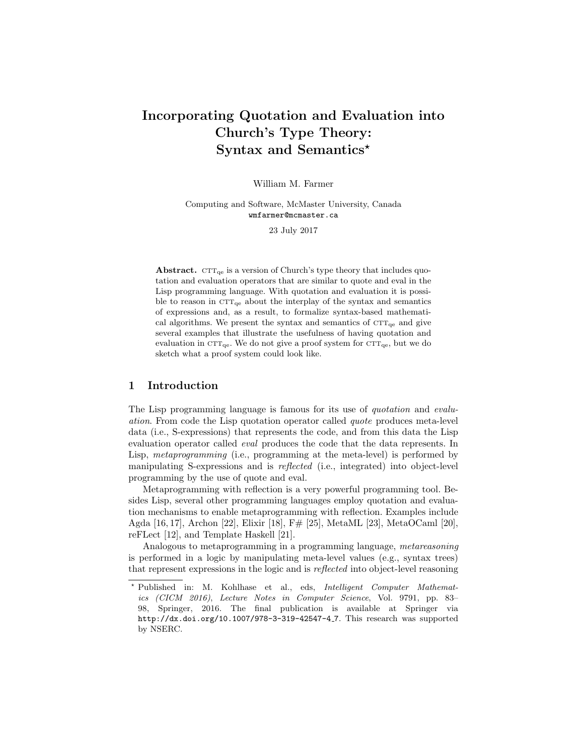# Incorporating Quotation and Evaluation into Church's Type Theory: Syntax and Semantics\*

William M. Farmer

Computing and Software, McMaster University, Canada wmfarmer@mcmaster.ca

23 July 2017

**Abstract.**  $CTT_{qe}$  is a version of Church's type theory that includes quotation and evaluation operators that are similar to quote and eval in the Lisp programming language. With quotation and evaluation it is possible to reason in  $CTT_{qe}$  about the interplay of the syntax and semantics of expressions and, as a result, to formalize syntax-based mathematical algorithms. We present the syntax and semantics of  $CTT_{qe}$  and give several examples that illustrate the usefulness of having quotation and evaluation in  $\text{CTT}_{\text{qe}}$ . We do not give a proof system for  $\text{CTT}_{\text{qe}}$ , but we do sketch what a proof system could look like.

## 1 Introduction

The Lisp programming language is famous for its use of *quotation* and *evalu*ation. From code the Lisp quotation operator called quote produces meta-level data (i.e., S-expressions) that represents the code, and from this data the Lisp evaluation operator called eval produces the code that the data represents. In Lisp, *metaprogramming* (i.e., programming at the meta-level) is performed by manipulating S-expressions and is reflected (i.e., integrated) into object-level programming by the use of quote and eval.

Metaprogramming with reflection is a very powerful programming tool. Besides Lisp, several other programming languages employ quotation and evaluation mechanisms to enable metaprogramming with reflection. Examples include Agda [16, 17], Archon [22], Elixir [18], F# [25], MetaML [23], MetaOCaml [20], reFLect [12], and Template Haskell [21].

Analogous to metaprogramming in a programming language, metareasoning is performed in a logic by manipulating meta-level values (e.g., syntax trees) that represent expressions in the logic and is reflected into object-level reasoning

<sup>?</sup> Published in: M. Kohlhase et al., eds, Intelligent Computer Mathematics (CICM 2016), Lecture Notes in Computer Science, Vol. 9791, pp. 83– 98, Springer, 2016. The final publication is available at Springer via http://dx.doi.org/10.1007/978-3-319-42547-4 7. This research was supported by NSERC.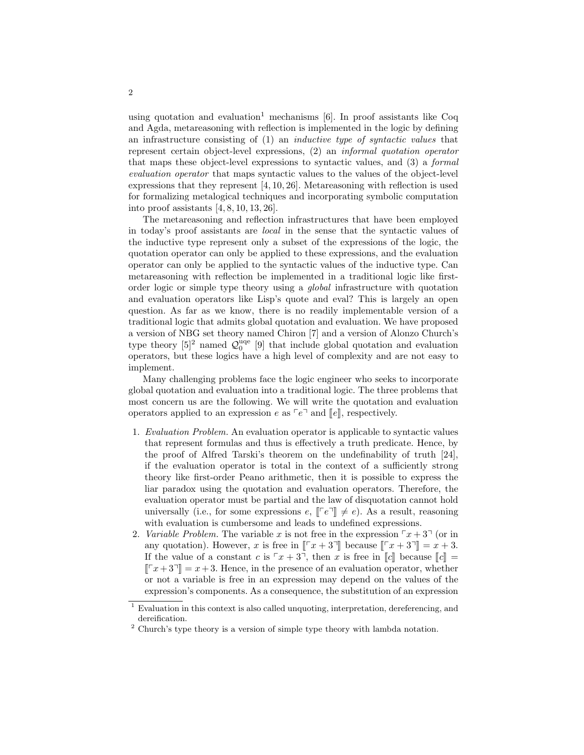using quotation and evaluation<sup>1</sup> mechanisms  $[6]$ . In proof assistants like Coq and Agda, metareasoning with reflection is implemented in the logic by defining an infrastructure consisting of  $(1)$  an *inductive type of syntactic values* that represent certain object-level expressions, (2) an informal quotation operator that maps these object-level expressions to syntactic values, and (3) a formal evaluation operator that maps syntactic values to the values of the object-level expressions that they represent [4, 10, 26]. Metareasoning with reflection is used for formalizing metalogical techniques and incorporating symbolic computation into proof assistants [4, 8, 10, 13, 26].

The metareasoning and reflection infrastructures that have been employed in today's proof assistants are local in the sense that the syntactic values of the inductive type represent only a subset of the expressions of the logic, the quotation operator can only be applied to these expressions, and the evaluation operator can only be applied to the syntactic values of the inductive type. Can metareasoning with reflection be implemented in a traditional logic like firstorder logic or simple type theory using a global infrastructure with quotation and evaluation operators like Lisp's quote and eval? This is largely an open question. As far as we know, there is no readily implementable version of a traditional logic that admits global quotation and evaluation. We have proposed a version of NBG set theory named Chiron [7] and a version of Alonzo Church's type theory  $[5]^2$  named  $\mathcal{Q}_0^{\text{uqe}}$  [9] that include global quotation and evaluation operators, but these logics have a high level of complexity and are not easy to implement.

Many challenging problems face the logic engineer who seeks to incorporate global quotation and evaluation into a traditional logic. The three problems that most concern us are the following. We will write the quotation and evaluation operators applied to an expression e as  $\lceil e \rceil$  and  $\lceil e \rceil$ , respectively.

- 1. Evaluation Problem. An evaluation operator is applicable to syntactic values that represent formulas and thus is effectively a truth predicate. Hence, by the proof of Alfred Tarski's theorem on the undefinability of truth [24], if the evaluation operator is total in the context of a sufficiently strong theory like first-order Peano arithmetic, then it is possible to express the liar paradox using the quotation and evaluation operators. Therefore, the evaluation operator must be partial and the law of disquotation cannot hold universally (i.e., for some expressions  $e, \lbrack\lbrack e \rbrack \rbrack \neq e$ ). As a result, reasoning with evaluation is cumbersome and leads to undefined expressions.
- 2. Variable Problem. The variable x is not free in the expression  $x + 3$  (or in any quotation). However, x is free in  $\lbrack \lbrack \lbrack x+3 \rbrack \rbrack$  because  $\lbrack \lbrack \lbrack x+3 \rbrack \rbrack = x + 3$ . If the value of a constant c is  $\lceil x + 3 \rceil$ , then x is free in  $\lceil c \rceil$  because  $\lceil c \rceil$  =  $T[x + 3] = x + 3$ . Hence, in the presence of an evaluation operator, whether or not a variable is free in an expression may depend on the values of the expression's components. As a consequence, the substitution of an expression

<sup>&</sup>lt;sup>1</sup> Evaluation in this context is also called unquoting, interpretation, dereferencing, and dereification.

 $^2$  Church's type theory is a version of simple type theory with lambda notation.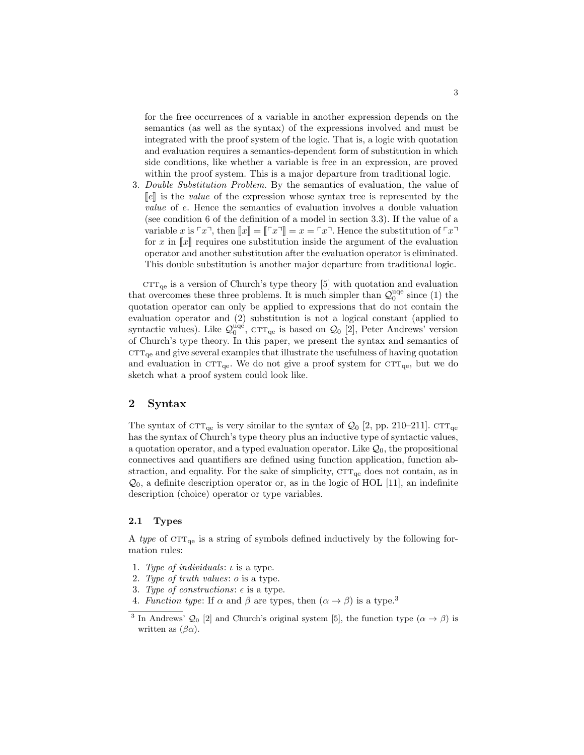for the free occurrences of a variable in another expression depends on the semantics (as well as the syntax) of the expressions involved and must be integrated with the proof system of the logic. That is, a logic with quotation and evaluation requires a semantics-dependent form of substitution in which side conditions, like whether a variable is free in an expression, are proved within the proof system. This is a major departure from traditional logic.

3. Double Substitution Problem. By the semantics of evaluation, the value of  $\llbracket e \rrbracket$  is the *value* of the expression whose syntax tree is represented by the value of e. Hence the semantics of evaluation involves a double valuation (see condition 6 of the definition of a model in section 3.3). If the value of a variable x is  $\lceil x \rceil$ , then  $\lceil x \rceil = \lceil x \rceil = x = \lceil x \rceil$ . Hence the substitution of  $\lceil x \rceil$ for x in  $\llbracket x \rrbracket$  requires one substitution inside the argument of the evaluation operator and another substitution after the evaluation operator is eliminated. This double substitution is another major departure from traditional logic.

 $CTT_{qe}$  is a version of Church's type theory [5] with quotation and evaluation that overcomes these three problems. It is much simpler than  $\mathcal{Q}_0^{\text{uqe}}$  since (1) the quotation operator can only be applied to expressions that do not contain the evaluation operator and (2) substitution is not a logical constant (applied to syntactic values). Like  $\mathcal{Q}_0^{\text{uqe}}$ , CTT<sub>qe</sub> is based on  $\mathcal{Q}_0$  [2], Peter Andrews' version of Church's type theory. In this paper, we present the syntax and semantics of  $\text{CTT}_{\text{ge}}$  and give several examples that illustrate the usefulness of having quotation and evaluation in  $\text{CTT}_{\text{qe}}$ . We do not give a proof system for  $\text{CTT}_{\text{qe}}$ , but we do sketch what a proof system could look like.

# 2 Syntax

The syntax of  $CTT_{qe}$  is very similar to the syntax of  $Q_0$  [2, pp. 210–211].  $CTT_{qe}$ has the syntax of Church's type theory plus an inductive type of syntactic values, a quotation operator, and a typed evaluation operator. Like  $\mathcal{Q}_0$ , the propositional connectives and quantifiers are defined using function application, function abstraction, and equality. For the sake of simplicity,  $CTT_{qe}$  does not contain, as in  $\mathcal{Q}_0$ , a definite description operator or, as in the logic of HOL [11], an indefinite description (choice) operator or type variables.

### 2.1 Types

A type of  $\text{CTT}_{qe}$  is a string of symbols defined inductively by the following formation rules:

- 1. Type of individuals:  $\iota$  is a type.
- 2. Type of truth values: o is a type.
- 3. Type of constructions:  $\epsilon$  is a type.
- 4. Function type: If  $\alpha$  and  $\beta$  are types, then  $(\alpha \rightarrow \beta)$  is a type.<sup>3</sup>

<sup>&</sup>lt;sup>3</sup> In Andrews'  $\mathcal{Q}_0$  [2] and Church's original system [5], the function type  $(\alpha \to \beta)$  is written as  $(\beta \alpha)$ .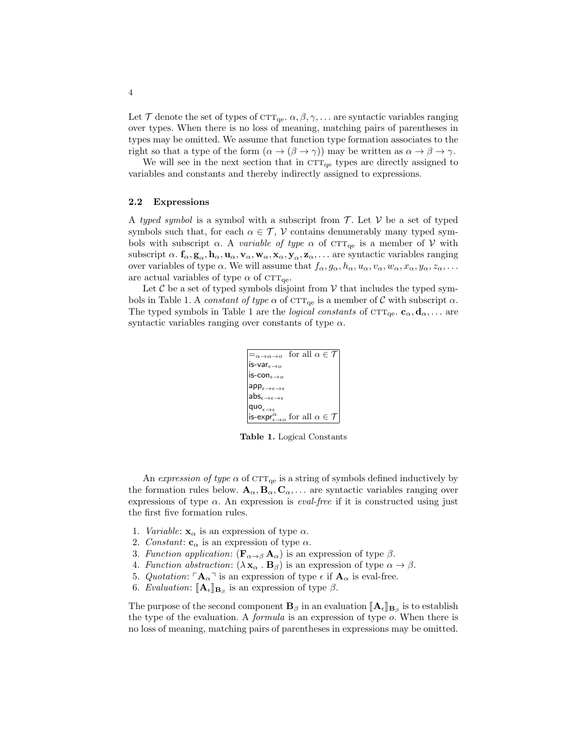Let T denote the set of types of  $CTT_{\text{qe}}$ .  $\alpha, \beta, \gamma, \ldots$  are syntactic variables ranging over types. When there is no loss of meaning, matching pairs of parentheses in types may be omitted. We assume that function type formation associates to the right so that a type of the form  $(\alpha \to (\beta \to \gamma))$  may be written as  $\alpha \to \beta \to \gamma$ .

We will see in the next section that in  $CTT_{qe}$  types are directly assigned to variables and constants and thereby indirectly assigned to expressions.

#### 2.2 Expressions

A typed symbol is a symbol with a subscript from  $\mathcal T$ . Let  $\mathcal V$  be a set of typed symbols such that, for each  $\alpha \in \mathcal{T}$ , V contains denumerably many typed symbols with subscript  $\alpha$ . A variable of type  $\alpha$  of CTT<sub>qe</sub> is a member of V with subscript  $\alpha$ .  $f_{\alpha}$ ,  $g_{\alpha}$ ,  $h_{\alpha}$ ,  $u_{\alpha}$ ,  $v_{\alpha}$ ,  $w_{\alpha}$ ,  $x_{\alpha}$ ,  $y_{\alpha}$ ,  $z_{\alpha}$ , ... are syntactic variables ranging over variables of type  $\alpha$ . We will assume that  $f_{\alpha}, g_{\alpha}, h_{\alpha}, u_{\alpha}, v_{\alpha}, w_{\alpha}, x_{\alpha}, y_{\alpha}, z_{\alpha}, \ldots$ are actual variables of type  $\alpha$  of CTT<sub>qe</sub>.

Let  $\mathcal C$  be a set of typed symbols disjoint from  $\mathcal V$  that includes the typed symbols in Table 1. A constant of type  $\alpha$  of CTT<sub>qe</sub> is a member of C with subscript  $\alpha$ . The typed symbols in Table 1 are the *logical constants* of  $\text{CTT}_{\text{qe}}$ .  $\mathbf{c}_{\alpha}, \mathbf{d}_{\alpha}, \dots$  are syntactic variables ranging over constants of type  $\alpha$ .

| $\equiv_{\alpha\to\alpha\to\alpha}$ for all $\alpha\in\mathcal{T}$           |  |  |  |
|------------------------------------------------------------------------------|--|--|--|
| is-var $_{\epsilon\rightarrow o}$                                            |  |  |  |
| is-con $_{\epsilon\rightarrow o}$                                            |  |  |  |
| $app_{\epsilon \to \epsilon \to \epsilon}$                                   |  |  |  |
| $\mathsf{abs}_{\epsilon \to \epsilon \to \epsilon}$                          |  |  |  |
| quo $_{\epsilon\rightarrow\epsilon}$                                         |  |  |  |
| is-expr $_{\epsilon\rightarrow o}^{\alpha}$ for all $\alpha \in \mathcal{T}$ |  |  |  |

Table 1. Logical Constants

An expression of type  $\alpha$  of CTT<sub>qe</sub> is a string of symbols defined inductively by the formation rules below.  $\mathbf{A}_{\alpha}, \mathbf{B}_{\alpha}, \mathbf{C}_{\alpha}, \dots$  are syntactic variables ranging over expressions of type  $\alpha$ . An expression is *eval-free* if it is constructed using just the first five formation rules.

- 1. *Variable:*  $\mathbf{x}_{\alpha}$  is an expression of type  $\alpha$ .
- 2. Constant:  $\mathbf{c}_{\alpha}$  is an expression of type  $\alpha$ .
- 3. Function application:  $(\mathbf{F}_{\alpha \to \beta} \mathbf{A}_{\alpha})$  is an expression of type  $\beta$ .
- 4. Function abstraction:  $(\lambda \mathbf{x}_{\alpha} \cdot \mathbf{B}_{\beta})$  is an expression of type  $\alpha \rightarrow \beta$ .
- 5. Quotation:  $\mathbf{A}_{\alpha}$ <sup> $\top$ </sup> is an expression of type  $\epsilon$  if  $\mathbf{A}_{\alpha}$  is eval-free.
- 6. Evaluation:  $[\![\mathbf{A}_{\epsilon}]\!]_{\mathbf{B}_{\beta}}$  is an expression of type  $\beta$ .

The purpose of the second component  $\mathbf{B}_{\beta}$  in an evaluation  $[\![\mathbf{A}_{\epsilon}]\!]_{\mathbf{B}_{\beta}}$  is to establish the type of the evaluation  $\Lambda$  formula is an expression of type  $\alpha$ . When there is the type of the evaluation. A formula is an expression of type o. When there is no loss of meaning, matching pairs of parentheses in expressions may be omitted.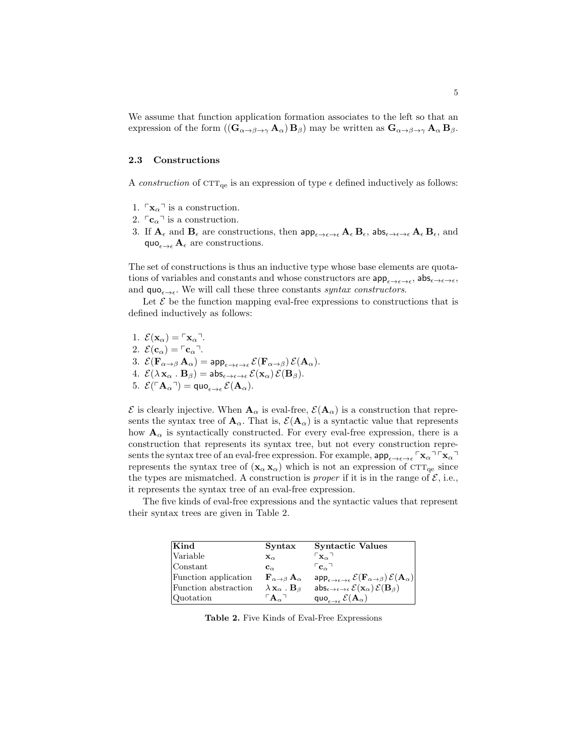We assume that function application formation associates to the left so that an expression of the form  $((\mathbf{G}_{\alpha \to \beta \to \gamma} \mathbf{A}_{\alpha}) \mathbf{B}_{\beta})$  may be written as  $\mathbf{G}_{\alpha \to \beta \to \gamma} \mathbf{A}_{\alpha} \mathbf{B}_{\beta}$ .

#### 2.3 Constructions

A construction of  $\text{CTT}_{\text{qe}}$  is an expression of type  $\epsilon$  defined inductively as follows:

- 1.  $\lceil \mathbf{x}_{\alpha} \rceil$  is a construction.
- 2.  $\lceil \mathbf{c}_\alpha \rceil$  is a construction.
- 3. If  $A_{\epsilon}$  and  $B_{\epsilon}$  are constructions, then  $app_{\epsilon \to \epsilon \to \epsilon} A_{\epsilon} B_{\epsilon}$ ,  $abs_{\epsilon \to \epsilon \to \epsilon} A_{\epsilon} B_{\epsilon}$ , and quo $_{\epsilon\rightarrow\epsilon}$  A<sub> $\epsilon$ </sub> are constructions.

The set of constructions is thus an inductive type whose base elements are quotations of variables and constants and whose constructors are  $app_{\epsilon\to\epsilon\to\epsilon}$ ,  $abs_{\epsilon\to\epsilon\to\epsilon}$ , and  $\mathsf{quo}_{\epsilon \to \epsilon}$ . We will call these three constants *syntax constructors*.

Let  $\mathcal E$  be the function mapping eval-free expressions to constructions that is defined inductively as follows:

1.  $\mathcal{E}(\mathbf{x}_{\alpha}) = \lceil \mathbf{x}_{\alpha} \rceil$ . 2.  $\mathcal{E}(\mathbf{c}_{\alpha}) = \lceil \mathbf{c}_{\alpha} \rceil$ . 3.  $\mathcal{E}(\mathbf{F}_{\alpha \to \beta} \mathbf{A}_{\alpha}) = \text{app}_{\epsilon \to \epsilon \to \epsilon} \mathcal{E}(\mathbf{F}_{\alpha \to \beta}) \mathcal{E}(\mathbf{A}_{\alpha}).$ 4.  $\mathcal{E}(\lambda \mathbf{x}_{\alpha} \cdot \mathbf{B}_{\beta}) = \mathsf{abs}_{\epsilon \to \epsilon \to \epsilon} \mathcal{E}(\mathbf{x}_{\alpha}) \mathcal{E}(\mathbf{B}_{\beta}).$ 5.  $\mathcal{E}(\ulcorner \mathbf{A}_\alpha \urcorner) = \text{quo}_{\epsilon \to \epsilon} \mathcal{E}(\mathbf{A}_\alpha).$ 

 $\mathcal E$  is clearly injective. When  $\mathbf A_\alpha$  is eval-free,  $\mathcal E(\mathbf A_\alpha)$  is a construction that represents the syntax tree of  $\mathbf{A}_{\alpha}$ . That is,  $\mathcal{E}(\mathbf{A}_{\alpha})$  is a syntactic value that represents how  $\mathbf{A}_{\alpha}$  is syntactically constructed. For every eval-free expression, there is a construction that represents its syntax tree, but not every construction represents the syntax tree of an eval-free expression. For example,  $app_{\epsilon \to \epsilon \to \epsilon} \rceil x_\alpha \rceil \rceil x_\alpha$ represents the syntax tree of  $(\mathbf{x}_{\alpha}, \mathbf{x}_{\alpha})$  which is not an expression of CTT<sub>qe</sub> since the types are mismatched. A construction is *proper* if it is in the range of  $\mathcal{E}$ , i.e., it represents the syntax tree of an eval-free expression.

The five kinds of eval-free expressions and the syntactic values that represent their syntax trees are given in Table 2.

| Kind                 | Syntax                                                 | <b>Syntactic Values</b>                                                                                                 |
|----------------------|--------------------------------------------------------|-------------------------------------------------------------------------------------------------------------------------|
| <i>Nariable</i>      | $\mathbf{x}_{\alpha}$                                  | $\mathsf{L}_{\mathbf{X}_\alpha}$                                                                                        |
| Constant             | $\mathbf{c}_{\alpha}$                                  | $\mathbf{C}_{\alpha}$                                                                                                   |
| Function application | ${\bf F}_{\alpha\rightarrow\beta}{\bf A}_{\alpha}$     | $\sup_{\epsilon \to \epsilon \to \epsilon} \mathcal{E}(\mathbf{F}_{\alpha \to \beta}) \mathcal{E}(\mathbf{A}_{\alpha})$ |
| Function abstraction | $\lambda$ $\mathbf{x}_{\alpha}$ . $\mathbf{B}_{\beta}$ | abs $_{\epsilon\to\epsilon\to\epsilon}$ $\mathcal{E}(\mathbf{x}_{\alpha})$ $\mathcal{E}(\mathbf{B}_{\beta})$            |
| Quotation            | ${}^{\sqcap}{\bf A}_\alpha{}^{\sqcap}$                 | quo $_{\epsilon\rightarrow\epsilon}$ $\mathcal{E}(\mathbf{A}_{\alpha})$                                                 |

Table 2. Five Kinds of Eval-Free Expressions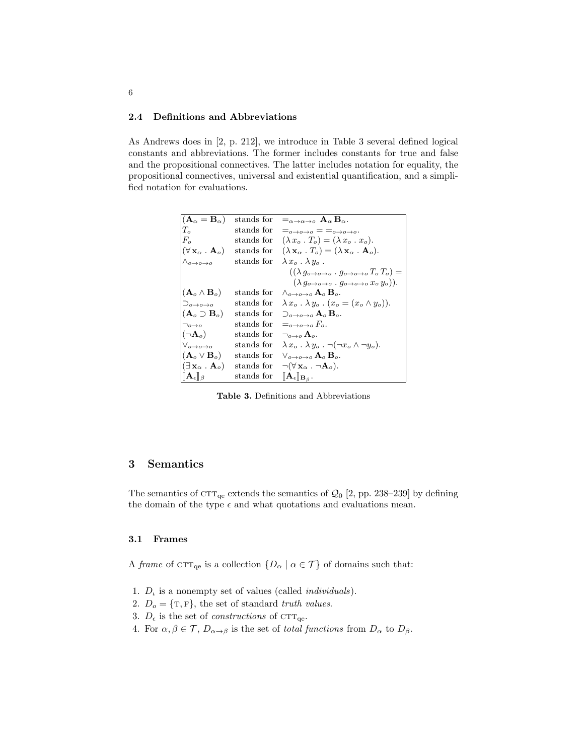### 2.4 Definitions and Abbreviations

As Andrews does in [2, p. 212], we introduce in Table 3 several defined logical constants and abbreviations. The former includes constants for true and false and the propositional connectives. The latter includes notation for equality, the propositional connectives, universal and existential quantification, and a simplified notation for evaluations.

| $(\mathbf{A}_{\alpha} = \mathbf{B}_{\alpha})$        | stands for | $\equiv_{\alpha\rightarrow\alpha\rightarrow\rho} A_{\alpha} B_{\alpha}$ .                                   |
|------------------------------------------------------|------------|-------------------------------------------------------------------------------------------------------------|
| $T_{\alpha}$                                         | stands for | $=_{o\rightarrow o\rightarrow o} = \equiv_{o\rightarrow o\rightarrow o}.$                                   |
| $F_{\alpha}$                                         | stands for | $(\lambda x_o \cdot T_o) = (\lambda x_o \cdot x_o).$                                                        |
| $(\forall \mathbf{x}_{\alpha} \ . \ \mathbf{A}_{o})$ | stands for | $(\lambda \mathbf{x}_{\alpha} \cdot T_{\alpha}) = (\lambda \mathbf{x}_{\alpha} \cdot \mathbf{A}_{\alpha}).$ |
| $\wedge_{o\rightarrow o\rightarrow o}$               | stands for | $\lambda x_0$ . $\lambda y_0$ .                                                                             |
|                                                      |            | $((\lambda g_{o\rightarrow o\rightarrow o}\cdot g_{o\rightarrow o\rightarrow o}T_oT_o)=$                    |
|                                                      |            | $(\lambda g_{o\rightarrow o\rightarrow o}\cdot g_{o\rightarrow o\rightarrow o}\,x_o\,y_o)).$                |
| $(\mathbf{A}_o \wedge \mathbf{B}_o)$                 | stands for | $\wedge_{\alpha\to\alpha\to\alpha} A_{\alpha} B_{\alpha}$ .                                                 |
| $\supset_{\alpha\to\alpha\to\alpha}$                 | stands for | $\lambda x_o \cdot \lambda y_o \cdot (x_o = (x_o \wedge y_o)).$                                             |
| $(A_o \supset B_o)$                                  | stands for | $\supset_{o\to o\to o} A_o B_o.$                                                                            |
| $\neg$ <sub>0</sub> $\rightarrow$ <sub>0</sub>       | stands for | $=_{\alpha\rightarrow\alpha\rightarrow\alpha}F_{\alpha}$ .                                                  |
| $(\neg A_o)$                                         | stands for | $\neg_{\alpha\rightarrow\alpha}A_{\alpha}$ .                                                                |
| $\vee_{o\rightarrow o\rightarrow o}$                 | stands for | $\lambda x_o \cdot \lambda y_o$ . $\neg(\neg x_o \wedge \neg y_o)$ .                                        |
| $(\mathbf{A}_o \vee \mathbf{B}_o)$                   | stands for | $\vee_{a\rightarrow a\rightarrow a}$ $\mathbf{A}_{a}$ $\mathbf{B}_{a}$ .                                    |
| $(\exists \mathbf{x}_{\alpha} \ . \ \mathbf{A}_{o})$ | stands for | $\neg(\forall \mathbf{x}_{\alpha} \cdot \neg \mathbf{A}_{o}).$                                              |
| $\ \mathbf{A}_{\epsilon}\ _{\beta}$                  | stands for | $[\![ {\bf A}_\epsilon]\!]_{{\bf B}_\beta}.$                                                                |
|                                                      |            |                                                                                                             |

Table 3. Definitions and Abbreviations

# 3 Semantics

The semantics of  $CTT_{qe}$  extends the semantics of  $Q_0$  [2, pp. 238–239] by defining the domain of the type  $\epsilon$  and what quotations and evaluations mean.

### 3.1 Frames

A frame of  $\text{CTT}_{\text{qe}}$  is a collection  $\{D_{\alpha} \mid \alpha \in \mathcal{T}\}\$  of domains such that:

- 1.  $D_t$  is a nonempty set of values (called *individuals*).
- 2.  $D_o = \{T, F\}$ , the set of standard truth values.
- 3.  $D_{\epsilon}$  is the set of *constructions* of CTT<sub>qe</sub>.
- 4. For  $\alpha, \beta \in \mathcal{T}$ ,  $D_{\alpha \to \beta}$  is the set of total functions from  $D_{\alpha}$  to  $D_{\beta}$ .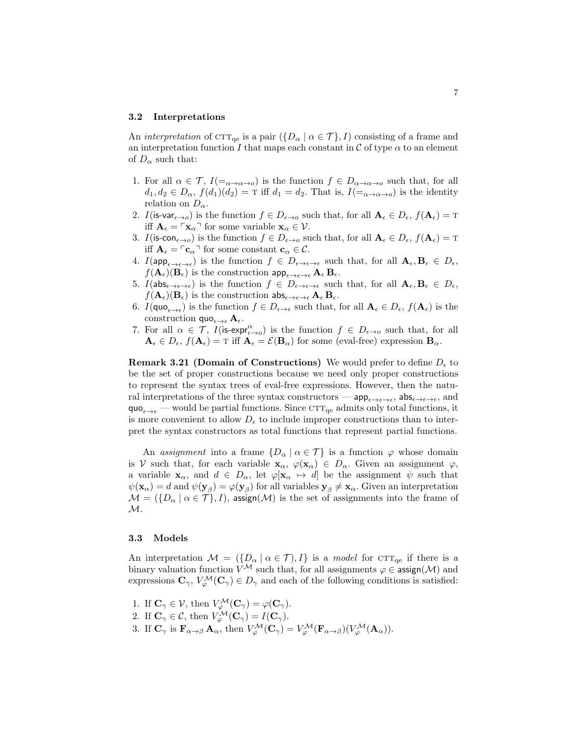#### 3.2 Interpretations

An interpretation of  $\text{CTT}_{\text{qe}}$  is a pair  $({D_{\alpha} | \alpha \in \mathcal{T}}), I$  consisting of a frame and an interpretation function I that maps each constant in C of type  $\alpha$  to an element of  $D_{\alpha}$  such that:

- 1. For all  $\alpha \in \mathcal{T}$ ,  $I(=_{\alpha\to\alpha\to\alpha})$  is the function  $f \in D_{\alpha\to\alpha\to\alpha}$  such that, for all  $d_1, d_2 \in D_\alpha$ ,  $f(d_1)(d_2) = \text{T}$  iff  $d_1 = d_2$ . That is,  $I(\equiv_{\alpha \to \alpha \to \alpha})$  is the identity relation on  $D_{\alpha}$ .
- 2. I(is-var<sub> $\epsilon \to 0$ </sub>) is the function  $f \in D_{\epsilon \to 0}$  such that, for all  $\mathbf{A}_{\epsilon} \in D_{\epsilon}$ ,  $f(\mathbf{A}_{\epsilon}) = \mathrm{T}$ iff  $\mathbf{A}_{\epsilon} = \lceil \mathbf{x}_{\alpha} \rceil$  for some variable  $\mathbf{x}_{\alpha} \in \mathcal{V}$ .
- 3.  $I(\mathsf{is-con}_{\epsilon \to o})$  is the function  $f \in D_{\epsilon \to o}$  such that, for all  $\mathbf{A}_{\epsilon} \in D_{\epsilon}, f(\mathbf{A}_{\epsilon}) = \mathbf{T}$ iff  $\mathbf{A}_{\epsilon} = \lceil \mathbf{c}_{\alpha} \rceil$  for some constant  $\mathbf{c}_{\alpha} \in \mathcal{C}$ .
- 4.  $I(\mathsf{app}_{\epsilon \to \epsilon \to \epsilon})$  is the function  $f \in D_{\epsilon \to \epsilon \to \epsilon}$  such that, for all  $\mathbf{A}_{\epsilon}, \mathbf{B}_{\epsilon} \in D_{\epsilon}$ ,  $f(\mathbf{A}_{\epsilon})(\mathbf{B}_{\epsilon})$  is the construction  $\mathsf{app}_{\epsilon\to\epsilon\to\epsilon}\mathbf{A}_{\epsilon}\mathbf{B}_{\epsilon}$ .
- 5.  $I(\mathsf{abs}_{\epsilon \to \epsilon \to \epsilon})$  is the function  $f \in D_{\epsilon \to \epsilon \to \epsilon}$  such that, for all  $\mathbf{A}_{\epsilon}, \mathbf{B}_{\epsilon} \in D_{\epsilon}$ ,  $f(\mathbf{A}_{\epsilon})(\mathbf{B}_{\epsilon})$  is the construction  $\mathsf{abs}_{\epsilon \to \epsilon \to \epsilon} \mathbf{A}_{\epsilon} \mathbf{B}_{\epsilon}$ .
- 6.  $I(\text{quo}_{\epsilon \to \epsilon})$  is the function  $f \in D_{\epsilon \to \epsilon}$  such that, for all  $\mathbf{A}_{\epsilon} \in D_{\epsilon}, f(\mathbf{A}_{\epsilon})$  is the construction  $\mathsf{quo}_{\epsilon\to\epsilon} \mathbf{A}_\epsilon$ .
- 7. For all  $\alpha \in \mathcal{T}$ ,  $I(\mathsf{is-expr}_{\epsilon \to o}^{\alpha})$  is the function  $f \in D_{\epsilon \to o}$  such that, for all  $A_{\epsilon} \in D_{\epsilon}$ ,  $f(A_{\epsilon}) = T$  iff  $A_{\epsilon} = \mathcal{E}(B_{\alpha})$  for some (eval-free) expression  $B_{\alpha}$ .

**Remark 3.21 (Domain of Constructions)** We would prefer to define  $D_{\epsilon}$  to be the set of proper constructions because we need only proper constructions to represent the syntax trees of eval-free expressions. However, then the natural interpretations of the three syntax constructors —  $app_{\epsilon\to\epsilon\to\epsilon}$ ,  $abs_{\epsilon\to\epsilon\to\epsilon}$ , and  $\mathsf{quo}_{\epsilon \to \epsilon}$  — would be partial functions. Since  $\mathrm{cTT}_{\mathrm{qe}}$  admits only total functions, it is more convenient to allow  $D_{\epsilon}$  to include improper constructions than to interpret the syntax constructors as total functions that represent partial functions.

An assignment into a frame  $\{D_{\alpha} \mid \alpha \in \mathcal{T}\}\$ is a function  $\varphi$  whose domain is V such that, for each variable  $\mathbf{x}_{\alpha}$ ,  $\varphi(\mathbf{x}_{\alpha}) \in D_{\alpha}$ . Given an assignment  $\varphi$ , a variable  $\mathbf{x}_{\alpha}$ , and  $d \in D_{\alpha}$ , let  $\varphi[\mathbf{x}_{\alpha} \mapsto d]$  be the assignment  $\psi$  such that  $\psi(\mathbf{x}_{\alpha}) = d$  and  $\psi(\mathbf{y}_{\beta}) = \varphi(\mathbf{y}_{\beta})$  for all variables  $\mathbf{y}_{\beta} \neq \mathbf{x}_{\alpha}$ . Given an interpretation  $\mathcal{M} = (\{D_{\alpha} \mid \alpha \in \mathcal{T}\}, I)$ , assign $(\mathcal{M})$  is the set of assignments into the frame of M.

#### 3.3 Models

An interpretation  $\mathcal{M} = (\{D_{\alpha} \mid \alpha \in \mathcal{T}, I\})$  is a model for CTT<sub>qe</sub> if there is a binary valuation function  $V^{\mathcal{M}}$  such that, for all assignments  $\varphi \in \mathsf{assign}(\mathcal{M})$  and expressions  $\mathbf{C}_{\gamma}, V^{\mathcal{M}}_{\varphi}(\mathbf{C}_{\gamma}) \in D_{\gamma}$  and each of the following conditions is satisfied:

1. If  $\mathbf{C}_{\gamma} \in \mathcal{V}$ , then  $V^{\mathcal{M}}_{\varphi}(\mathbf{C}_{\gamma}) = \varphi(\mathbf{C}_{\gamma})$ . 2. If  $\mathbf{C}_{\gamma} \in \mathcal{C}$ , then  $V^{\mathcal{M}}_{\varphi}(\mathbf{C}_{\gamma}) = I(\mathbf{C}_{\gamma})$ . 3. If  $\mathbf{C}_{\gamma}$  is  $\mathbf{F}_{\alpha \to \beta} \mathbf{A}_{\alpha}$ , then  $V^{\mathcal{M}}_{\varphi}(\mathbf{C}_{\gamma}) = V^{\mathcal{M}}_{\varphi}(\mathbf{F}_{\alpha \to \beta})(V^{\mathcal{M}}_{\varphi}(\mathbf{A}_{\alpha})).$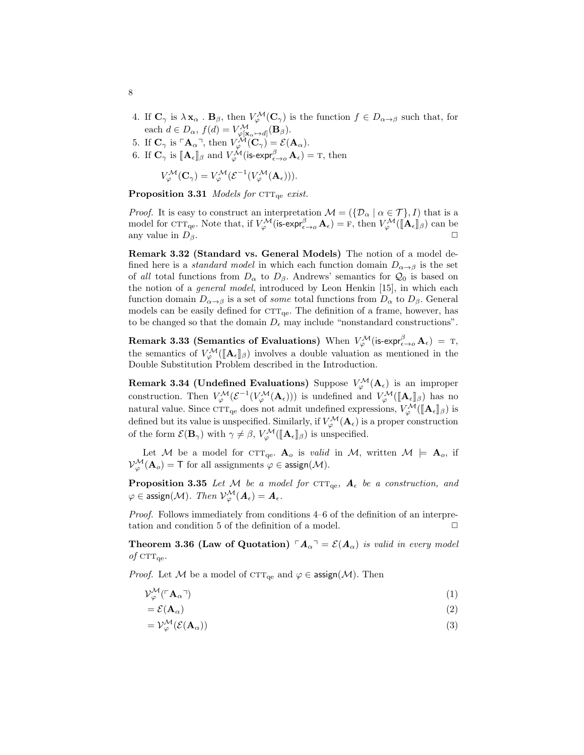- 4. If  $\mathbf{C}_{\gamma}$  is  $\lambda \mathbf{x}_{\alpha}$  .  $\mathbf{B}_{\beta}$ , then  $V^{\mathcal{M}}_{\varphi}(\mathbf{C}_{\gamma})$  is the function  $f \in D_{\alpha \to \beta}$  such that, for each  $d \in D_{\alpha}$ ,  $f(d) = V^{\mathcal{M}}_{\varphi[\mathbf{x}_{\alpha} \mapsto d]}(\mathbf{B}_{\beta})$ .
- 5. If  $\mathbf{C}_{\gamma}$  is  $\ulcorner \mathbf{A}_{\alpha} \urcorner$ , then  $V_{\varphi}^{\mathcal{M}}(\mathbf{C}_{\gamma}) = \mathcal{E}(\mathbf{A}_{\alpha})$ .
- 6. If  $\mathbf{C}_{\gamma}$  is  $[\![\mathbf{A}_{\epsilon}]\!]_{\beta}$  and  $V_{\varphi}^{\mathcal{M}}(\mathsf{is-expr}_{\epsilon\to 0}^{\beta} \mathbf{A}_{\epsilon}) = \mathrm{T}$ , then

$$
V_{\varphi}^{\mathcal{M}}(\mathbf{C}_{\gamma})=V_{\varphi}^{\mathcal{M}}(\mathcal{E}^{-1}(V_{\varphi}^{\mathcal{M}}(\mathbf{A}_{\epsilon}))).
$$

**Proposition 3.31** Models for  $\text{CTT}_{\text{ge}}$  exist.

*Proof.* It is easy to construct an interpretation  $\mathcal{M} = (\{\mathcal{D}_{\alpha} \mid \alpha \in \mathcal{T}\}, I)$  that is a model for  $\text{CTT}_{\text{qe}}$ . Note that, if  $V^{\mathcal{M}}_{\varphi}(\mathsf{is-expr}^{\beta}_{\epsilon\to o} \mathbf{A}_{\epsilon}) = \mathbf{F}$ , then  $V^{\mathcal{M}}_{\varphi}([\mathbf{A}_{\epsilon}]]_{\beta})$  can be any value in  $D_\beta$ .

Remark 3.32 (Standard vs. General Models) The notion of a model defined here is a *standard model* in which each function domain  $D_{\alpha \to \beta}$  is the set of all total functions from  $D_{\alpha}$  to  $D_{\beta}$ . Andrews' semantics for  $\mathcal{Q}_0$  is based on the notion of a general model, introduced by Leon Henkin [15], in which each function domain  $D_{\alpha \to \beta}$  is a set of *some* total functions from  $D_{\alpha}$  to  $D_{\beta}$ . General models can be easily defined for  $\text{CTT}_{\text{ge}}$ . The definition of a frame, however, has to be changed so that the domain  $D_{\epsilon}$  may include "nonstandard constructions".

 $\textbf{Remark 3.33 (Semantics of Evaluations) When }\text{ $V_{\varphi}^{\mathcal{M}}(\text{is-expr}^{\beta}_{\epsilon\to o}\,\mathbf{A}_{\epsilon})\,=\,\text{T},}$ the semantics of  $V^{\mathcal{M}}_{\varphi}([\mathbf{A}_{\epsilon}]\_p)$  involves a double valuation as mentioned in the Double Substitution Problem described in the Introduction. Double Substitution Problem described in the Introduction.

Remark 3.34 (Undefined Evaluations) Suppose  $V^{\mathcal{M}}_{\varphi}(\mathbf{A}_{\epsilon})$  is an improper construction. Then  $V^{\mathcal{M}}_{\varphi}(\mathcal{E}^{-1}(V^{\mathcal{M}}_{\varphi}(A_{\epsilon})))$  is undefined and  $V^{\mathcal{M}}_{\varphi}([\![A_{\epsilon}]\!]_{\beta})$  has no natural value. Since  $\text{CTT}_{\text{qe}}$  does not admit undefined expressions,  $V_{\varphi}^{\mathcal{M}}([\mathbf{A}_{\epsilon}]]_{\beta})$  is defined but its value is unspecified. Similarly, if  $V^{\mathcal{M}}_{\varphi}(\mathbf{A}_{\epsilon})$  is a proper construction of the form  $\mathcal{E}(\mathbf{B}_{\gamma})$  with  $\gamma \neq \beta$ ,  $V_{\varphi}^{\mathcal{M}}(\mathbf{A}_{\epsilon}|\mathbf{A}_{\epsilon})$  is unspecified.

Let M be a model for CTT<sub>qe</sub>.  $A_o$  is valid in M, written  $M \models A_o$ , if  $\mathcal{V}_{\varphi}^{\mathcal{M}}(\mathbf{A}_{o}) = \mathsf{T}$  for all assignments  $\varphi \in \mathsf{assign}(\mathcal{M}).$ 

**Proposition 3.35** Let M be a model for  $\text{CTT}_{\text{qe}}$ ,  $A_{\epsilon}$  be a construction, and  $\varphi \in \mathsf{assign}(\mathcal{M}).\ \ Then \ \mathcal{V}^\mathcal{M}_\varphi(\bm{A}_\epsilon) = \bm{A}_\epsilon.$ 

Proof. Follows immediately from conditions 4–6 of the definition of an interpretation and condition 5 of the definition of a model.  $\Box$ 

**Theorem 3.36 (Law of Quotation)**  $\mathbf{A}_{\alpha} = \mathcal{E}(\mathbf{A}_{\alpha})$  is valid in every model of  $\text{CTT}_{\text{qe}}$ .

*Proof.* Let M be a model of  $\text{CTT}_{\text{qe}}$  and  $\varphi \in \text{assign}(\mathcal{M})$ . Then

$$
\mathcal{V}_{\varphi}^{\mathcal{M}}(\ulcorner \mathbf{A}_{\alpha}\urcorner) \tag{1}
$$

$$
= \mathcal{E}(\mathbf{A}_{\alpha}) \tag{2}
$$

$$
= \mathcal{V}_{\varphi}^{\mathcal{M}}(\mathcal{E}(\mathbf{A}_{\alpha})) \tag{3}
$$

8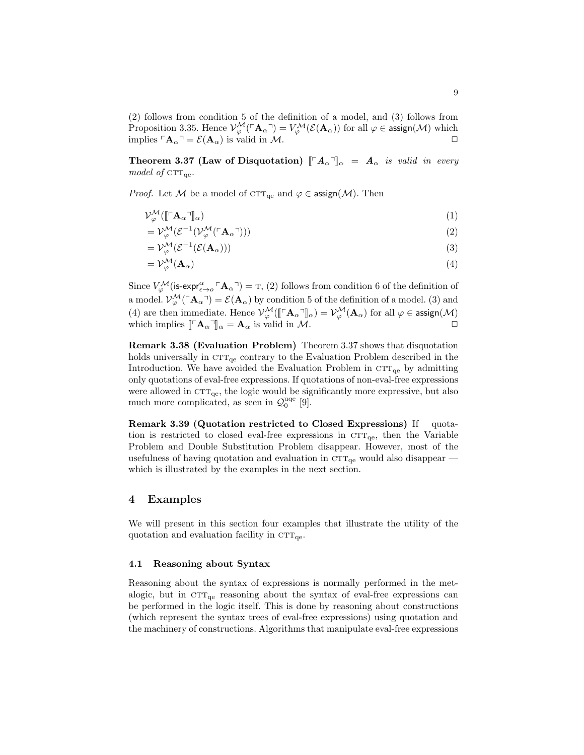(2) follows from condition 5 of the definition of a model, and (3) follows from Proposition 3.35. Hence  $\mathcal{V}_{\varphi}^{\mathcal{M}}(\ulcorner \mathbf{A}_{\alpha} \urcorner) = \mathcal{V}_{\varphi}^{\mathcal{M}}(\mathcal{E}(\mathbf{A}_{\alpha}))$  for all  $\varphi \in \mathsf{assign}(\mathcal{M})$  which implies  $\ulcorner \mathbf{A}_{\alpha} \urcorner = \mathcal{E}(\mathbf{A}_{\alpha})$  is valid in M.  $\Box$ 

**Theorem 3.37 (Law of Disquotation)**  $\llbracket \ulcorner A_\alpha \urcorner \rrbracket_\alpha = A_\alpha$  is valid in every model of  $\text{CTT}_{\text{ge}}$ .

*Proof.* Let M be a model of  $\text{CTT}_{\text{qe}}$  and  $\varphi \in \text{assign}(\mathcal{M})$ . Then

$$
\mathcal{V}_{\varphi}^{\mathcal{M}}([\mathbf{r}_{\mathbf{A}_{\alpha}}\mathbf{I}_{\alpha}])
$$
\n<sup>(1)</sup>

$$
= \mathcal{V}_{\varphi}^{\mathcal{M}}(\mathcal{E}^{-1}(\mathcal{V}_{\varphi}^{\mathcal{M}}(\ulcorner \mathbf{A}_{\alpha} \urcorner))) \tag{2}
$$

$$
= \mathcal{V}_{\varphi}^{\mathcal{M}}(\mathcal{E}^{-1}(\mathcal{E}(\mathbf{A}_{\alpha}))) \tag{3}
$$

$$
=\mathcal{V}_{\varphi}^{\mathcal{M}}(\mathbf{A}_{\alpha})\tag{4}
$$

Since  $V^{\mathcal{M}}_{\varphi}$  (is-expr $^{\alpha}_{\epsilon\to\rho}$   $\lceil \mathbf{A}_{\alpha} \rceil$ ) = T, (2) follows from condition 6 of the definition of a model.  $\mathcal{V}_{\varphi}^{\mathcal{M}}(\ulcorner \mathbf{A}_\alpha \urcorner) = \mathcal{E}(\mathbf{A}_\alpha)$  by condition 5 of the definition of a model. (3) and (4) are then immediate. Hence  $\mathcal{V}_{\varphi}^{\mathcal{M}}([\mathbb{F}_{\mathbf{A}_{\alpha}}]_{\alpha}) = \mathcal{V}_{\varphi}^{\mathcal{M}}(\mathbf{A}_{\alpha})$  for all  $\varphi \in \mathsf{assign}(\mathcal{M})$ which implies  $\llbracket \ulcorner \mathbf{A}_{\alpha} \urcorner \rrbracket_{\alpha} = \mathbf{A}_{\alpha}$  is valid in  $\mathcal{M}$ .

Remark 3.38 (Evaluation Problem) Theorem 3.37 shows that disquotation holds universally in  $\text{CTT}_{\text{qe}}$  contrary to the Evaluation Problem described in the Introduction. We have avoided the Evaluation Problem in  $\text{CTT}_{\text{qe}}$  by admitting only quotations of eval-free expressions. If quotations of non-eval-free expressions were allowed in  $\text{CTT}_{\text{qe}}$ , the logic would be significantly more expressive, but also much more complicated, as seen in  $\mathcal{Q}_0^{\text{uqe}}$  [9].

Remark 3.39 (Quotation restricted to Closed Expressions) If quotation is restricted to closed eval-free expressions in  $\text{CTT}_{qe}$ , then the Variable Problem and Double Substitution Problem disappear. However, most of the usefulness of having quotation and evaluation in  $\text{CTT}_{\text{qe}}$  would also disappear which is illustrated by the examples in the next section.

# 4 Examples

We will present in this section four examples that illustrate the utility of the quotation and evaluation facility in  $\text{CTT}_{\text{qe}}$ .

### 4.1 Reasoning about Syntax

Reasoning about the syntax of expressions is normally performed in the metalogic, but in  $\text{CTT}_{\text{ge}}$  reasoning about the syntax of eval-free expressions can be performed in the logic itself. This is done by reasoning about constructions (which represent the syntax trees of eval-free expressions) using quotation and the machinery of constructions. Algorithms that manipulate eval-free expressions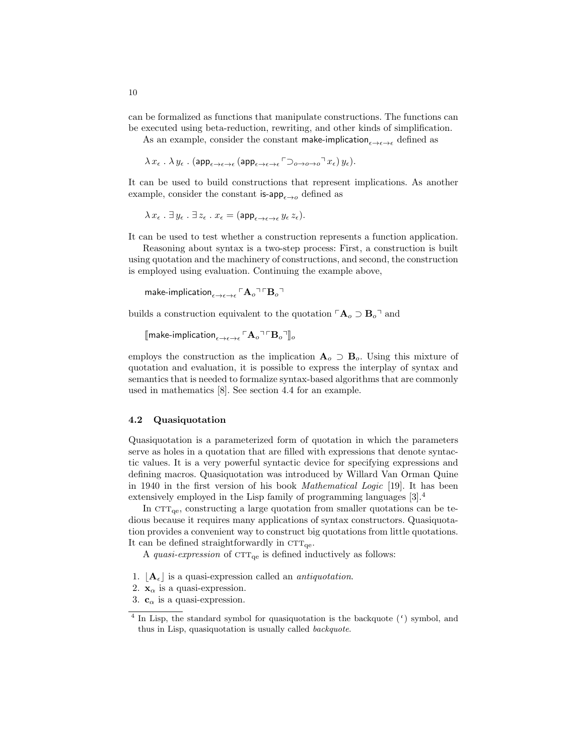can be formalized as functions that manipulate constructions. The functions can be executed using beta-reduction, rewriting, and other kinds of simplification.

As an example, consider the constant make-implication $\epsilon \rightarrow \epsilon \rightarrow \epsilon$  defined as

$$
\lambda x_{\epsilon} \ . \ \lambda \ y_{\epsilon} \ . \ \big( {\sf app}_{\epsilon \to \epsilon \to \epsilon} \, \big( {\sf app}_{\epsilon \to \epsilon \to \epsilon} \, \ulcorner \!\varsup_{o \to o \to o} \urcorner x_{\epsilon} \big) \, y_{\epsilon} \big).
$$

It can be used to build constructions that represent implications. As another example, consider the constant is-app $_{\epsilon \to o}$  defined as

$$
\lambda x_{\epsilon} \cdot \exists y_{\epsilon} \cdot \exists z_{\epsilon} \cdot x_{\epsilon} = (\mathsf{app}_{\epsilon \to \epsilon \to \epsilon} y_{\epsilon} z_{\epsilon}).
$$

It can be used to test whether a construction represents a function application.

Reasoning about syntax is a two-step process: First, a construction is built using quotation and the machinery of constructions, and second, the construction is employed using evaluation. Continuing the example above,

make-implication $_{\epsilon \rightarrow \epsilon \rightarrow \epsilon}$   $\lceil \mathbf{A}_o \rceil \lceil \mathbf{B}_o \rceil$ 

builds a construction equivalent to the quotation  $\mathsf{A}_{\rho} \supset \mathbf{B}_{\rho}$ <sup> $\neg$ </sup> and

[make-implication<sub> $\epsilon \rightarrow \epsilon \rightarrow \epsilon$ </sub>  $\mathbf{A}_o$ <sup>¬</sup> $\mathbf{B}_o$ <sup>¬</sup>]<sub>o</sub>

employs the construction as the implication  $A_o \supset B_o$ . Using this mixture of quotation and evaluation, it is possible to express the interplay of syntax and semantics that is needed to formalize syntax-based algorithms that are commonly used in mathematics [8]. See section 4.4 for an example.

### 4.2 Quasiquotation

Quasiquotation is a parameterized form of quotation in which the parameters serve as holes in a quotation that are filled with expressions that denote syntactic values. It is a very powerful syntactic device for specifying expressions and defining macros. Quasiquotation was introduced by Willard Van Orman Quine in 1940 in the first version of his book Mathematical Logic [19]. It has been extensively employed in the Lisp family of programming languages [3].<sup>4</sup>

In  $CTT_{\text{qe}}$ , constructing a large quotation from smaller quotations can be tedious because it requires many applications of syntax constructors. Quasiquotation provides a convenient way to construct big quotations from little quotations. It can be defined straightforwardly in  $CTT_{qe}$ .

A *quasi-expression* of  $\text{CTT}_{\text{qe}}$  is defined inductively as follows:

- 1.  $[A_{\epsilon}]$  is a quasi-expression called an *antiquotation*.
- 2.  $\mathbf{x}_{\alpha}$  is a quasi-expression.
- 3.  $\mathbf{c}_{\alpha}$  is a quasi-expression.

10

<sup>&</sup>lt;sup>4</sup> In Lisp, the standard symbol for quasiquotation is the backquote (') symbol, and thus in Lisp, quasiquotation is usually called backquote.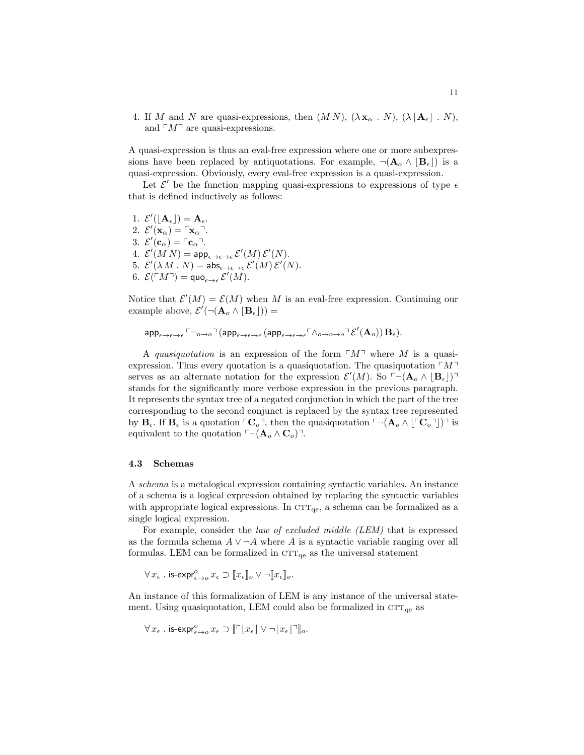4. If M and N are quasi-expressions, then  $(M N)$ ,  $(\lambda \mathbf{x}_{\alpha} \cdot N)$ ,  $(\lambda | \mathbf{A}_{\epsilon} | N)$ , and  $\ulcorner M\urcorner$  are quasi-expressions.

A quasi-expression is thus an eval-free expression where one or more subexpressions have been replaced by antiquotations. For example,  $\neg(\mathbf{A}_o \wedge [\mathbf{B}_\epsilon])$  is a quasi-expression. Obviously, every eval-free expression is a quasi-expression.

Let  $\mathcal{E}'$  be the function mapping quasi-expressions to expressions of type  $\epsilon$ that is defined inductively as follows:

1.  $\mathcal{E}'(\lfloor \mathbf{A}_{\epsilon} \rfloor) = \mathbf{A}_{\epsilon}.$ 2.  $\mathcal{E}'(\mathbf{x}_{\alpha}) = \ulcorner \mathbf{x}_{\alpha} \urcorner$ . 3.  $\mathcal{E}'(\mathbf{c}_{\alpha}) = \lceil \mathbf{c}_{\alpha} \rceil$ . 4.  $\mathcal{E}'(M|N) = \mathsf{app}_{\epsilon \to \epsilon \to \epsilon} \, \mathcal{E}'(M) \, \mathcal{E}'(N).$ 5.  $\mathcal{E}'(\lambda M \cdot N) = \mathsf{abs}_{\epsilon \to \epsilon \to \epsilon} \, \mathcal{E}'(M) \, \mathcal{E}'(N)$ . 6.  $\mathcal{E}(\ulcorner M \urcorner) = \text{quo}_{\epsilon \to \epsilon} \mathcal{E}'(M)$ .

Notice that  $\mathcal{E}'(M) = \mathcal{E}(M)$  when M is an eval-free expression. Continuing our example above,  $\mathcal{E}'(\neg(\mathbf{A}_o \land [\mathbf{B}_\epsilon])) =$ 

 $\mathsf{app}_{\epsilon \to \epsilon \to \epsilon}$   $\ulcorner \neg_{o \to o} \urcorner (\mathsf{app}_{\epsilon \to \epsilon \to \epsilon} (\mathsf{app}_{\epsilon \to \epsilon \to \epsilon} \ulcorner \wedge_{o \to o \to o} \urcorner \mathcal{E}'(\mathbf{A}_o)) \mathbf{B}_{\epsilon}).$ 

A quasiquotation is an expression of the form  $\lceil M \rceil$  where M is a quasiexpression. Thus every quotation is a quasiquotation. The quasiquotation  $\lceil M \rceil$ serves as an alternate notation for the expression  $\mathcal{E}'(M)$ . So  $\ulcorner \neg (\mathbf{A}_o \wedge \lbrack \mathbf{B}_{\epsilon} \rbrack) \urcorner$ stands for the significantly more verbose expression in the previous paragraph. It represents the syntax tree of a negated conjunction in which the part of the tree corresponding to the second conjunct is replaced by the syntax tree represented by  $B_{\epsilon}$ . If  $B_{\epsilon}$  is a quotation  $\Gamma C_{o}^{\dagger}$ , then the quasiquotation  $\Gamma \neg (A_{o} \wedge [\Gamma C_{o}^{\dagger}]^{\dagger}$  is equivalent to the quotation  $\ulcorner \neg (\mathbf{A}_o \wedge \mathbf{C}_o) \urcorner$ .

### 4.3 Schemas

A schema is a metalogical expression containing syntactic variables. An instance of a schema is a logical expression obtained by replacing the syntactic variables with appropriate logical expressions. In  $\text{CTT}_{\text{qe}}$ , a schema can be formalized as a single logical expression.

For example, consider the *law of excluded middle (LEM)* that is expressed as the formula schema  $A \vee \neg A$  where A is a syntactic variable ranging over all formulas. LEM can be formalized in  $CTT_{qe}$  as the universal statement

 $\forall x_{\epsilon}$  . is-expr $_{\epsilon\to o}^o x_{\epsilon} \supset [x_{\epsilon}]_o \vee \neg [x_{\epsilon}]_o$ .

An instance of this formalization of LEM is any instance of the universal statement. Using quasiquotation, LEM could also be formalized in  $CTT_{qe}$  as

$$
\forall x_{\epsilon} \text{ . is-expr}_{\epsilon \to o}^o x_{\epsilon} \supset \llbracket \ulcorner [x_{\epsilon}] \lor \lnot [x_{\epsilon}] \urcorner \rrbracket_o.
$$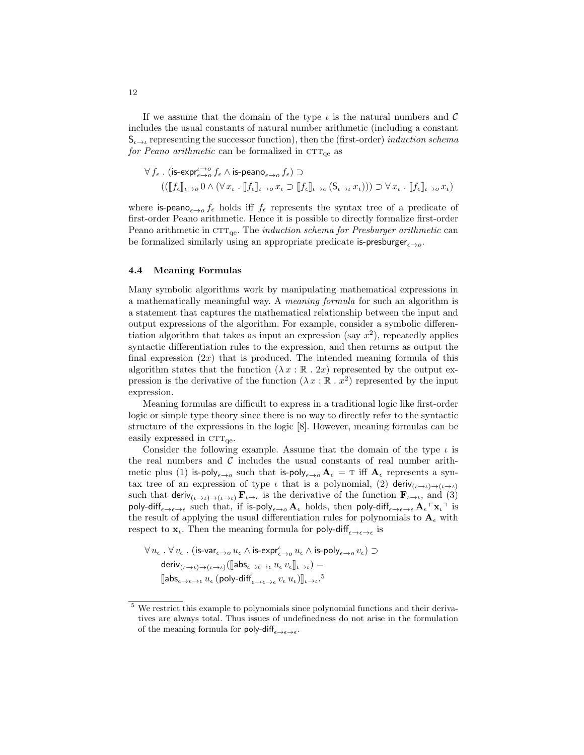If we assume that the domain of the type  $\iota$  is the natural numbers and  $\mathcal C$ includes the usual constants of natural number arithmetic (including a constant  $S_{\iota \to \iota}$  representing the successor function), then the (first-order) *induction schema* for Peano arithmetic can be formalized in  $\text{CTT}_{\text{qe}}$  as

$$
\forall f_{\epsilon} \text{ . } \left( \text{is-exp}_{\epsilon \to o}^{t \to o} f_{\epsilon} \wedge \text{is-peano}_{\epsilon \to o} f_{\epsilon} \right) \supset
$$

$$
\left( \left( \llbracket f_{\epsilon} \rrbracket_{t \to o} 0 \wedge (\forall x_{t} \text{ . } \llbracket f_{\epsilon} \rrbracket_{t \to o} x_{t} \supset \llbracket f_{\epsilon} \rrbracket_{t \to o} (\mathsf{S}_{t \to t} x_{t})) \right) \supset \forall x_{t} \text{ . } \llbracket f_{\epsilon} \rrbracket_{t \to o} x_{t} \right)
$$

where is-peano $\epsilon \rightarrow 0$  f<sub> $\epsilon$ </sub> holds iff f<sub> $\epsilon$ </sub> represents the syntax tree of a predicate of first-order Peano arithmetic. Hence it is possible to directly formalize first-order Peano arithmetic in  $\text{CTT}_{qe}$ . The *induction schema for Presburger arithmetic* can be formalized similarly using an appropriate predicate is-presburger $_{\epsilon \rightarrow o}$ .

#### 4.4 Meaning Formulas

Many symbolic algorithms work by manipulating mathematical expressions in a mathematically meaningful way. A meaning formula for such an algorithm is a statement that captures the mathematical relationship between the input and output expressions of the algorithm. For example, consider a symbolic differentiation algorithm that takes as input an expression (say  $x^2$ ), repeatedly applies syntactic differentiation rules to the expression, and then returns as output the final expression  $(2x)$  that is produced. The intended meaning formula of this algorithm states that the function  $(\lambda x : \mathbb{R} \cdot 2x)$  represented by the output expression is the derivative of the function  $(\lambda x : \mathbb{R} \cdot x^2)$  represented by the input expression.

Meaning formulas are difficult to express in a traditional logic like first-order logic or simple type theory since there is no way to directly refer to the syntactic structure of the expressions in the logic [8]. However, meaning formulas can be easily expressed in  $\text{CTT}_{\text{ge}}$ .

Consider the following example. Assume that the domain of the type  $\iota$  is the real numbers and  $\mathcal C$  includes the usual constants of real number arithmetic plus (1) is-poly<sub> $\epsilon\to o$ </sub> such that is-poly<sub> $\epsilon\to o$ </sub>  $\mathbf{A}_{\epsilon} = \mathrm{T}$  iff  $\mathbf{A}_{\epsilon}$  represents a syntax tree of an expression of type  $\iota$  that is a polynomial, (2) deriv $(\iota \rightarrow \iota) \rightarrow (\iota \rightarrow \iota)$ such that deriv $(\iota \rightarrow \iota) \rightarrow (\iota \rightarrow \iota)$  **F**<sub> $i \rightarrow \iota$ </sub> is the derivative of the function  $\mathbf{F}_{\iota \rightarrow \iota}$ , and (3) poly-diff<sub> $\epsilon \to \epsilon \to \epsilon$ </sub> such that, if is-poly<sub> $\epsilon \to o$ </sub>  $\mathbf{A}_{\epsilon}$  holds, then poly-diff $\epsilon \to \epsilon \to \epsilon \mathbf{A}_{\epsilon}$ <sup>r</sup> x<sub>i</sub><sup>-1</sup> is the result of applying the usual differentiation rules for polynomials to  $\mathbf{A}_{\epsilon}$  with respect to  $\mathbf{x}_{\iota}$ . Then the meaning formula for poly-diff $_{\epsilon \to \epsilon \to \epsilon}$  is

$$
\forall u_{\epsilon} \;.\; \forall v_{\epsilon} \;.\; \big( \text{is-var}_{\epsilon \to o} u_{\epsilon} \wedge \text{is-expr}_{\epsilon \to o}^{\iota} u_{\epsilon} \wedge \text{is-poly}_{\epsilon \to o} v_{\epsilon} \big) \supset \\ \text{deriv}_{(\iota \to \iota) \to (\iota \to \iota)} \big( [\![ \text{abs}_{\epsilon \to \epsilon \to \epsilon} u_{\epsilon} \, v_{\epsilon} ]\!]_{\iota \to \iota} \big) = \\ \text{[} \text{abs}_{\epsilon \to \epsilon \to \epsilon} u_{\epsilon} \, (\text{poly-diff}_{\epsilon \to \epsilon \to \epsilon} v_{\epsilon} \, u_{\epsilon}) ]\!]_{\iota \to \iota} \cdot \text{!}^5
$$

 $^5\,$  We restrict this example to polynomials since polynomial functions and their derivatives are always total. Thus issues of undefinedness do not arise in the formulation of the meaning formula for poly-diff $_{\epsilon \to \epsilon \to \epsilon}$ .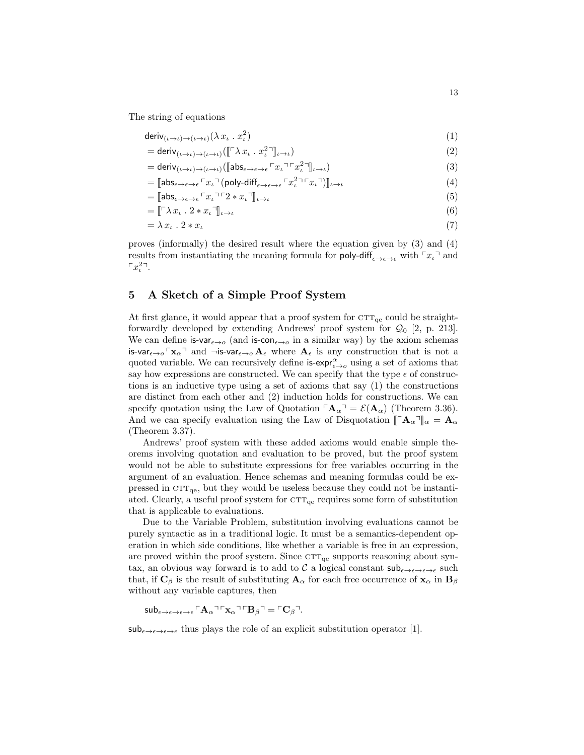The string of equations

$$
\text{deriv}_{(\iota \to \iota) \to (\iota \to \iota)} (\lambda x_{\iota} \cdot x_{\iota}^2) \tag{1}
$$

$$
= \text{deriv}_{(\iota \to \iota) \to (\iota \to \iota)}([\lbrack \ulcorner \lambda x_{\iota} \cdot x_{\iota}^2 \rbrack \rbrack_{\iota \to \iota})
$$
\n(2)

$$
= \text{deriv}_{(\iota \to \iota) \to (\iota \to \iota)} (\llbracket \text{abs}_{\epsilon \to \epsilon \to \epsilon} \ulcorner x_{\iota} \urcorner \ulcorner x_{\iota}^2 \urcorner \rrbracket_{\iota \to \iota}) \tag{3}
$$

$$
= [\mathsf{abs}_{\epsilon \to \epsilon \to \epsilon} \Gamma x_{\iota} \Gamma (\mathsf{poly-diff}_{\epsilon \to \epsilon \to \epsilon} \Gamma x_{\iota}^{2} \Gamma x_{\iota} \Gamma)]_{\iota \to \iota} \tag{4}
$$

$$
= [\mathbf{a} \mathbf{b} \mathbf{s}_{\epsilon \to \epsilon \to \epsilon} \ulcorner x_t \urcorner \ulcorner 2 * x_t \urcorner]_{t \to t} \tag{5}
$$

$$
= [\![\ulcorner \lambda x_t \cdot 2 * x_t \urcorner]\!]_{t \to t} \tag{6}
$$

$$
=\lambda x_{\iota} \cdot 2 * x_{\iota} \tag{7}
$$

proves (informally) the desired result where the equation given by (3) and (4) results from instantiating the meaning formula for poly-diff<sub> $\epsilon \rightarrow \epsilon \rightarrow \epsilon$ </sub> with  $\lceil x_{\iota} \rceil$  and  $\lceil x_i^{2} \rceil$ .

# 5 A Sketch of a Simple Proof System

At first glance, it would appear that a proof system for  $\text{CTT}_{\text{qe}}$  could be straightforwardly developed by extending Andrews' proof system for  $Q_0$  [2, p. 213]. We can define is-var $_{\epsilon\to o}$  (and is-con $_{\epsilon\to o}$  in a similar way) by the axiom schemas is-var $_{\epsilon\to o}$   $\lceil x_\alpha \rceil$  and  $\neg$ is-var $_{\epsilon\to o}$   $A_\epsilon$  where  $A_\epsilon$  is any construction that is not a quoted variable. We can recursively define  $\mathsf{is\text{-}exp}_\epsilon^{\alpha}$  using a set of axioms that say how expressions are constructed. We can specify that the type  $\epsilon$  of constructions is an inductive type using a set of axioms that say (1) the constructions are distinct from each other and (2) induction holds for constructions. We can specify quotation using the Law of Quotation  $\mathbf{A}_{\alpha} = \mathcal{E}(\mathbf{A}_{\alpha})$  (Theorem 3.36). And we can specify evaluation using the Law of Disquotation  $\Vert \mathcal{A}_{\alpha} \Vert_{\alpha} = \mathbf{A}_{\alpha}$ (Theorem 3.37).

Andrews' proof system with these added axioms would enable simple theorems involving quotation and evaluation to be proved, but the proof system would not be able to substitute expressions for free variables occurring in the argument of an evaluation. Hence schemas and meaning formulas could be expressed in  $CTT_{\text{qe}}$ , but they would be useless because they could not be instantiated. Clearly, a useful proof system for  $\text{CTT}_{\text{qe}}$  requires some form of substitution that is applicable to evaluations.

Due to the Variable Problem, substitution involving evaluations cannot be purely syntactic as in a traditional logic. It must be a semantics-dependent operation in which side conditions, like whether a variable is free in an expression, are proved within the proof system. Since  $\text{CTT}_{\text{qe}}$  supports reasoning about syntax, an obvious way forward is to add to  $C$  a logical constant  $\mathsf{sub}_{\epsilon\to\epsilon\to\epsilon\to\epsilon}$  such that, if  $\mathbf{C}_{\beta}$  is the result of substituting  $\mathbf{A}_{\alpha}$  for each free occurrence of  $\mathbf{x}_{\alpha}$  in  $\mathbf{B}_{\beta}$ without any variable captures, then

 $\mathsf{sub}_{\epsilon \to \epsilon \to \epsilon \to \epsilon} \mathsf{A}_{\alpha} \mathsf{A}_{\alpha} \mathsf{A}_{\alpha} \mathsf{A}_{\beta} \mathsf{A}_{\beta} = \mathsf{A}_{\beta} \mathsf{A}_{\beta}$ 

 $\mathsf{sub}_{\epsilon\to\epsilon\to\epsilon\to\epsilon}$  thus plays the role of an explicit substitution operator [1].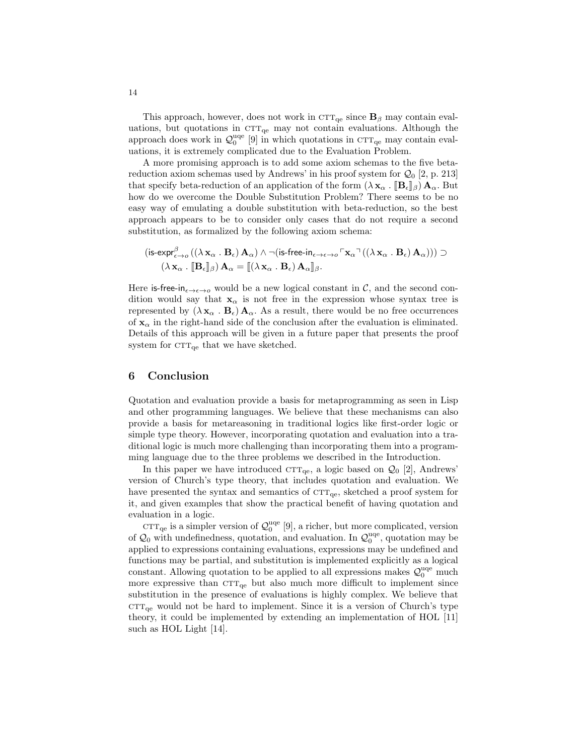This approach, however, does not work in  $\text{CT}_{\text{qe}}$  since  $\mathbf{B}_{\beta}$  may contain evaluations, but quotations in  $\text{CTT}_{\text{qe}}$  may not contain evaluations. Although the approach does work in  $\mathcal{Q}_0^{\text{uqe}}$  [9] in which quotations in  $\text{CTT}_{\text{qe}}$  may contain evaluations, it is extremely complicated due to the Evaluation Problem.

A more promising approach is to add some axiom schemas to the five betareduction axiom schemas used by Andrews' in his proof system for  $Q_0$  [2, p. 213] that specify beta-reduction of an application of the form  $(\lambda \mathbf{x}_{\alpha} \cdot \mathbf{B}_{\epsilon} |_{\beta}) \mathbf{A}_{\alpha}$ . But how do we overcome the Double Substitution Problem? There seems to be no easy way of emulating a double substitution with beta-reduction, so the best approach appears to be to consider only cases that do not require a second substitution, as formalized by the following axiom schema:

$$
(\text{is-expr}_{\epsilon \to o}^{\beta} ((\lambda \mathbf{x}_{\alpha} \cdot \mathbf{B}_{\epsilon}) \mathbf{A}_{\alpha}) \wedge \neg (\text{is-free-in}_{\epsilon \to \epsilon \to o} \ulcorner \mathbf{x}_{\alpha} \urcorner ((\lambda \mathbf{x}_{\alpha} \cdot \mathbf{B}_{\epsilon}) \mathbf{A}_{\alpha}))) \supset (\lambda \mathbf{x}_{\alpha} \cdot [\![\mathbf{B}_{\epsilon}]\!]_{\beta}) \mathbf{A}_{\alpha} = [\![(\lambda \mathbf{x}_{\alpha} \cdot \mathbf{B}_{\epsilon}) \mathbf{A}_{\alpha}]\!]_{\beta}.
$$

Here is-free-in<sub> $\epsilon \rightarrow \epsilon \rightarrow o$ </sub> would be a new logical constant in C, and the second condition would say that  $x_{\alpha}$  is not free in the expression whose syntax tree is represented by  $(\lambda x_{\alpha} \cdot \mathbf{B}_{\epsilon}) \mathbf{A}_{\alpha}$ . As a result, there would be no free occurrences of  $x_\alpha$  in the right-hand side of the conclusion after the evaluation is eliminated. Details of this approach will be given in a future paper that presents the proof system for  $\text{CTT}_{\text{qe}}$  that we have sketched.

## 6 Conclusion

Quotation and evaluation provide a basis for metaprogramming as seen in Lisp and other programming languages. We believe that these mechanisms can also provide a basis for metareasoning in traditional logics like first-order logic or simple type theory. However, incorporating quotation and evaluation into a traditional logic is much more challenging than incorporating them into a programming language due to the three problems we described in the Introduction.

In this paper we have introduced  $\text{CTT}_{\text{qe}}$ , a logic based on  $\mathcal{Q}_0$  [2], Andrews' version of Church's type theory, that includes quotation and evaluation. We have presented the syntax and semantics of  $\text{CTT}_{qe}$ , sketched a proof system for it, and given examples that show the practical benefit of having quotation and evaluation in a logic.

 $\text{CTT}_{\text{qe}}$  is a simpler version of  $\mathcal{Q}_0^{\text{uqe}}$  [9], a richer, but more complicated, version of  $\mathcal{Q}_0$  with undefinedness, quotation, and evaluation. In  $\mathcal{Q}_0^{\text{uqe}}$ , quotation may be applied to expressions containing evaluations, expressions may be undefined and functions may be partial, and substitution is implemented explicitly as a logical constant. Allowing quotation to be applied to all expressions makes  $\mathcal{Q}_0^{\text{uqe}}$  much more expressive than  $\text{CTT}_{\text{qe}}$  but also much more difficult to implement since substitution in the presence of evaluations is highly complex. We believe that  $CTT_{\text{qe}}$  would not be hard to implement. Since it is a version of Church's type theory, it could be implemented by extending an implementation of HOL [11] such as HOL Light [14].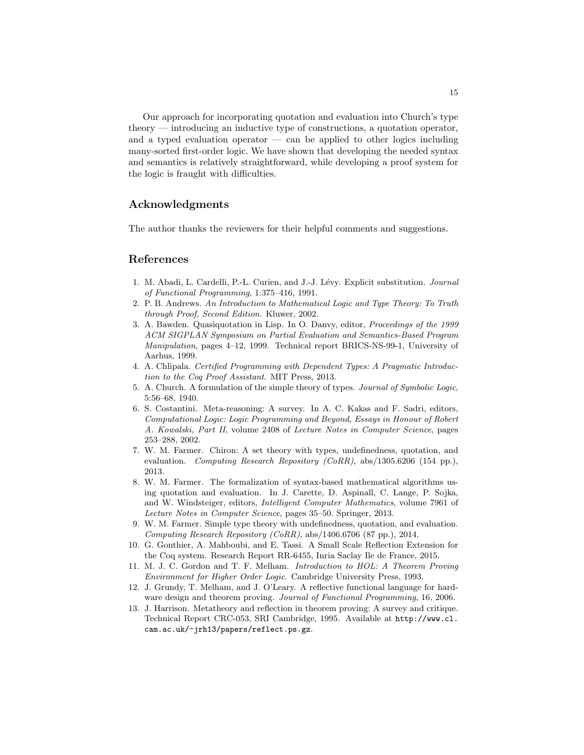Our approach for incorporating quotation and evaluation into Church's type theory — introducing an inductive type of constructions, a quotation operator, and a typed evaluation operator — can be applied to other logics including many-sorted first-order logic. We have shown that developing the needed syntax and semantics is relatively straightforward, while developing a proof system for the logic is fraught with difficulties.

# Acknowledgments

The author thanks the reviewers for their helpful comments and suggestions.

### References

- 1. M. Abadi, L. Cardelli, P.-L. Curien, and J.-J. Lévy. Explicit substitution. Journal of Functional Programming, 1:375–416, 1991.
- 2. P. B. Andrews. An Introduction to Mathematical Logic and Type Theory: To Truth through Proof, Second Edition. Kluwer, 2002.
- 3. A. Bawden. Quasiquotation in Lisp. In O. Danvy, editor, Proceedings of the 1999 ACM SIGPLAN Symposium on Partial Evaluation and Semantics-Based Program Manipulation, pages 4–12, 1999. Technical report BRICS-NS-99-1, University of Aarhus, 1999.
- 4. A. Chlipala. Certified Programming with Dependent Types: A Pragmatic Introduction to the Coq Proof Assistant. MIT Press, 2013.
- 5. A. Church. A formulation of the simple theory of types. Journal of Symbolic Logic, 5:56–68, 1940.
- 6. S. Costantini. Meta-reasoning: A survey. In A. C. Kakas and F. Sadri, editors, Computational Logic: Logic Programming and Beyond, Essays in Honour of Robert A. Kowalski, Part II, volume 2408 of Lecture Notes in Computer Science, pages 253–288, 2002.
- 7. W. M. Farmer. Chiron: A set theory with types, undefinedness, quotation, and evaluation. Computing Research Repository (CoRR), abs/1305.6206 (154 pp.), 2013.
- 8. W. M. Farmer. The formalization of syntax-based mathematical algorithms using quotation and evaluation. In J. Carette, D. Aspinall, C. Lange, P. Sojka, and W. Windsteiger, editors, Intelligent Computer Mathematics, volume 7961 of Lecture Notes in Computer Science, pages 35–50. Springer, 2013.
- 9. W. M. Farmer. Simple type theory with undefinedness, quotation, and evaluation. Computing Research Repository (CoRR), abs/1406.6706 (87 pp.), 2014.
- 10. G. Gonthier, A. Mahboubi, and E. Tassi. A Small Scale Reflection Extension for the Coq system. Research Report RR-6455, Inria Saclay Ile de France, 2015.
- 11. M. J. C. Gordon and T. F. Melham. Introduction to HOL: A Theorem Proving Environment for Higher Order Logic. Cambridge University Press, 1993.
- 12. J. Grundy, T. Melham, and J. O'Leary. A reflective functional language for hardware design and theorem proving. Journal of Functional Programming, 16, 2006.
- 13. J. Harrison. Metatheory and reflection in theorem proving: A survey and critique. Technical Report CRC-053, SRI Cambridge, 1995. Available at http://www.cl. cam.ac.uk/~jrh13/papers/reflect.ps.gz.